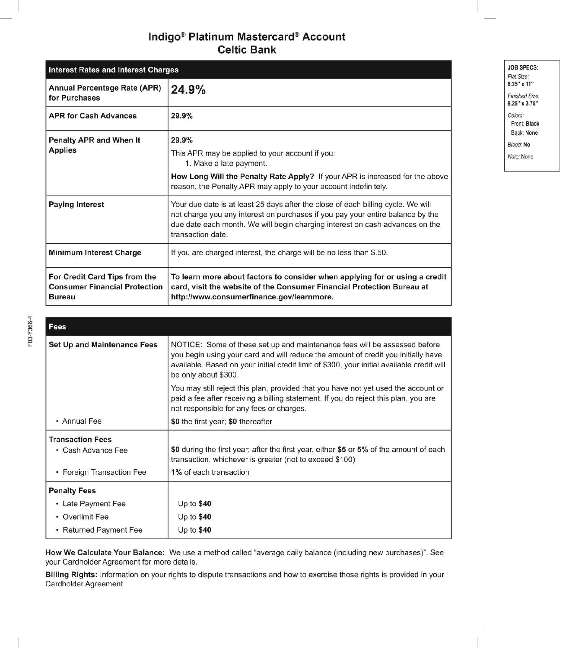# Indigo<sup>®</sup> Platinum Mastercard<sup>®</sup> Account **Celtic Bank**

| <b>Interest Rates and Interest Charges</b>                                             |                                                                                                                                                                                                                                                                         |
|----------------------------------------------------------------------------------------|-------------------------------------------------------------------------------------------------------------------------------------------------------------------------------------------------------------------------------------------------------------------------|
| <b>Annual Percentage Rate (APR)</b><br>for Purchases                                   | 24.9%                                                                                                                                                                                                                                                                   |
| <b>APR for Cash Advances</b>                                                           | 29.9%                                                                                                                                                                                                                                                                   |
| Penalty APR and When It<br><b>Applies</b>                                              | 29.9%<br>This APR may be applied to your account if you:<br>1. Make a late payment.                                                                                                                                                                                     |
|                                                                                        | How Long Will the Penalty Rate Apply? If your APR is increased for the above<br>reason, the Penalty APR may apply to your account indefinitely.                                                                                                                         |
| <b>Paying Interest</b>                                                                 | Your due date is at least 25 days after the close of each billing cycle. We will<br>not charge you any interest on purchases if you pay your entire balance by the<br>due date each month. We will begin charging interest on cash advances on the<br>transaction date. |
| <b>Minimum Interest Charge</b>                                                         | If you are charged interest, the charge will be no less than \$.50.                                                                                                                                                                                                     |
| For Credit Card Tips from the<br><b>Consumer Financial Protection</b><br><b>Bureau</b> | To learn more about factors to consider when applying for or using a credit<br>card, visit the website of the Consumer Financial Protection Bureau at<br>http://www.consumerfinance.gov/learnmore.                                                                      |

| Fees                               |                                                                                                                                                                                                                                                                                      |
|------------------------------------|--------------------------------------------------------------------------------------------------------------------------------------------------------------------------------------------------------------------------------------------------------------------------------------|
| <b>Set Up and Maintenance Fees</b> | NOTICE: Some of these set up and maintenance fees will be assessed before<br>you begin using your card and will reduce the amount of credit you initially have<br>available. Based on your initial credit limit of \$300, your initial available credit will<br>be only about \$300. |
|                                    | You may still reject this plan, provided that you have not yet used the account or<br>paid a fee after receiving a billing statement. If you do reject this plan, you are<br>not responsible for any fees or charges.                                                                |
| • Annual Fee                       | \$0 the first year; \$0 thereafter                                                                                                                                                                                                                                                   |
| <b>Transaction Fees</b>            |                                                                                                                                                                                                                                                                                      |
| • Cash Advance Fee                 | \$0 during the first year; after the first year, either \$5 or 5% of the amount of each<br>transaction, whichever is greater (not to exceed \$100)                                                                                                                                   |
| • Foreign Transaction Fee          | 1% of each transaction                                                                                                                                                                                                                                                               |
| <b>Penalty Fees</b>                |                                                                                                                                                                                                                                                                                      |
| • Late Payment Fee                 | Up to $$40$                                                                                                                                                                                                                                                                          |
| • Overlimit Fee                    | Up to $$40$                                                                                                                                                                                                                                                                          |
| • Returned Payment Fee             | Up to $$40$                                                                                                                                                                                                                                                                          |

How We Calculate Your Balance: We use a method called "average daily balance (including new purchases)". See your Cardholder Agreement for more details.

Billing Rights: Information on your rights to dispute transactions and how to exercise those rights is provided in your Cardholder Agreement.

**JOB SPECS:** Flat Size: 8.25" x 11" Finished Size: 8.25" x 3.75" Colors: Front: Black Back: None Bleed: No Note: None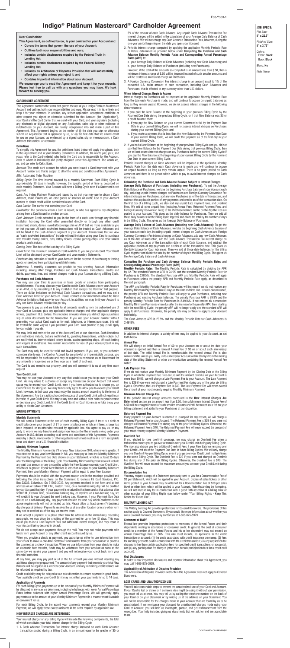**JOB SPECS:** *Flat Size:* **8" x 22.5"**

*Finished Size:* **8" x 3.75"**

*Colors:* Front: **Black** Back: **Black**

*Bleed:* **No**

*Note:* None

#### **CARDHOLDER AGREEMENT**

This Agreement contains the terms that govern the use of your Indigo Platinum Mastercard Account and outlines both your responsibilities and ours. Please read it in its entirety and keep it for your reference. In addition, any written application, acceptance certificate or other request you signed or otherwise submitted for this Account (the "Application"), your Card and the Card Carrier that we send with your Card, and your signature (including any electronic or digital signature) on any Application, sales slip or other evidence of indebtedness on your Account, are hereby incorporated into and made a part of this Agreement. This Agreement begins on the earlier of (i) the date you sign or otherwise submit an Application that is approved by us, or (ii) the first date that we extend credit to you on your Account, as evidenced by a signed sales slip or memorandum, a Cash Advance transaction, or otherwise.

#### **Definitions**

To simplify this Agreement for you, the definitions listed below will apply throughout, both in this Agreement and in your monthly Statements. In addition, the words *you*, *your*, and *yours* refer to the Cardholder(s) who holds the Card and is responsible for the Account, each of whom is individually and jointly obligated under this Agreement. The words *we*, *us*, and *our* refer to Celtic Bank.

*Account*: The credit card account for which you were issued a Card imprinted with your Account number and that is subject to all of the terms and conditions of this Agreement. *ATM*: Automated Teller Machine.

*Billing Cycle*: The time interval covered by a monthly Statement. Each Billing Cycle is approximately 30 days in length; however, the specific period of time is described on each monthly Statement. Your Account will have a Billing Cycle even if a Statement is not required.

*Card*: Any Indigo Platinum Mastercard issued by us that you may use to obtain a Cash Advance, make Purchases, or lease goods or services on credit. Use of your Account number to obtain credit will be considered a use of the Card.

*Card Carrier*: The carrier that contains your Card.

*Cardholder*: The person to whom a Card is issued, or who has agreed to pay obligations arising from a Card issued to another person.

*Cash Advance*: Credit extended to you in the form of a cash loan through any financial institution honoring the Card either presented directly or through any other credit instrument, check, device, overdraft coverage plan or ATM that we make available to you or that you use. All cash equivalent transactions will be treated as Cash Advances and will be billed to the Cash Advance segment of your Account. Transactions that we view as "cash equivalent transactions" include without limitation using your Card to purchase wire transfer money orders, bets, lottery tickets, casino gaming chips, and other similar products and services.

*Closing Date*: The date of the last day of a Billing Cycle.

*Credit Limit*: The maximum amount of credit available to you on your Account. Your Credit

Limit will be disclosed on your Card Carrier and your monthly Statements. *Purchase:* Any extension of credit to your Account for the purpose of purchasing or leasing

goods or services from participating establishments. *Statement*: A monthly document we provide to you showing Account information

including, among other things, Purchase and Cash Advance transactions, credits and debits, payments, fees, and interest charges made to your Account during a Billing Cycle.

## **Purchases and Cash Advances**

You may use your Card to purchase or lease goods or services from participating establishments. You may also use your Card to obtain Cash Advances from your Account at an ATM, or by presenting it to any institution that accepts the Card for that purpose. There are dollar limitations on individual Cash Advance transactions, and we may set a Cash Advance Limit for your Account. Please contact us for information about the Cash Advance limitations that apply to your Account. In addition, we may limit your Account to only one Cash Advance transaction per day.

You promise to pay us and are liable for all amounts resulting from the authorized use of your Card or Account, plus any applicable interest charges and other applicable charges or fees, payable in U.S. dollars. This includes amounts where you did not sign a purchase slip or other documents for the transaction. If you use your Account number without presenting your actual Card, such as for mail, telephone, or internet purchases, this will be treated the same way as if you presented your Card. Your promise to pay us will apply to your estate if you die.

We may limit and restrict the use of the Account/Card at our discretion. Such limitations and restrictions include, but are not limited to, gambling transactions, which include, but are not limited to, internet-related lottery tickets, casino gambling chips, off-track betting and wagers at racetracks. You remain responsible for use of your Account/Card in any such transactions.

The Card may only be used for valid and lawful purposes. If you use, or you authorize someone else to use, the Card or Account for an unlawful or impermissible purpose, you will be responsible for such use and may be required to reimburse us or Mastercard for any amounts or expenses we or they incur as a result of such use.

The Card is and remains our property, and you will surrender it to us at any time upon request.

## **Your Credit Limit**

You may not use your Account in any way that would cause you to go over your Credit Limit. We may refuse to authorize or accept any transaction on your Account that would cause you to exceed your Credit Limit, even if you have authorized us to charge you an Overlimit Fee for doing so. We may temporarily agree to allow you to exceed your Credit Limit; however, in that case you must repay the excess amount according to the terms of this Agreement. Any transactions honored in excess of your Credit Limit will not result in an increase of your Credit Limit. We may at any time and without prior notice to you increase or decrease your Credit Limit, limit the Credit Limit for Cash Advances or take away your ability to obtain Cash Advances.

## **MAKING PAYMENTS**

#### **Monthly Statements**

We will send a Statement at the end of each monthly Billing Cycle if there is a debit or credit balance on your account of \$1 or more, a balance on which an interest charge has been imposed, or as otherwise required by applicable law. You agree to pay us, or any party to whom we may transfer and assign your Account or the amounts owing under your Account, in U.S. dollars according to all terms and conditions of this Agreement. Payments made by a check, money order or other negotiable instrument must be in a form acceptable to us and drawn on a U.S. financial institution.

### **Monthly Minimum Payment**

The Monthly Minimum Payment is 7% of your New Balance or \$40, whichever is greater. If you elect not to pay your New Balance in full, you must pay at least the Monthly Minimum Payment by the Payment Due Date shown on your Statement, which is at least 25 days after the Closing Date of the Billing Cycle. Your Monthly Minimum Payment also will include any past due amount or any amount by which the New Balance exceeds your Credit Limit, whichever is greater. If your New Balance is less than or equal to your Monthly Minimum Payment, then your Monthly Minimum Payment will be equal to your New Balance.

Payments should be mailed with the payment coupon and in the envelope provided and following the other instructions on the Statement to Genesis FS Card Services, P.O. Box 23039, Columbus, GA 31902-3039. Any payment received in that form and at that address on or before 5:00 P.M., Eastern Time, on a normal banking day will be credited to your Account that day. If your payment is received in that form and at that address after 5:00 P.M., Eastern Time, on a normal banking day, or any time on a non-banking day, we will credit it to your Account the next banking day. However, if your Payment Due Date occurs on a non-banking day, any payment received the next day which conforms to the above requirements will not be treated as late. Please allow at least seven (7) business days for postal delivery. Payments received by us at any other location or in any other form may not be credited as of the day we receive them.

If we accept a payment at a place other than the address in the immediately preceding paragraph, we may delay the crediting of the payment for up to five (5) days. This may cause you to incur Late Payment Fees and additional interest charges, and may result in your Account being declared in default.

then a renewal Annual Fee of \$0 on or about eac of that date. The initial Annual Fee is nonrefundable; the renewal Annual Fee is also nonrefundable unless you notify us to cancel your Account within 30 days from the mailing date of the billing Statement or other communication containing the renewal Annual Fee notice.

We do not accept cash payments through the mail. You may not make payments with funds from your Account or any other credit account issued by us.

When you provide a check as payment, you authorize us either to use information from your check to make a one-time electronic fund transfer from your account or to process the payment as a check transaction. When we use information from your check to make an electronic fund transfer, funds may be withdrawn from your account as soon as the same day we receive your payment and you will not receive your check back from your financial institution.

At any time, you may pay part or all of the full amount you owe without incurring any additional charge for prepayment. The amount of any payment that exceeds your total New Balance will be applied as a credit to your Account, and any remaining credit balance will be refunded as required by law.

Credit availability may be delayed at our sole discretion to ensure payment in good funds. Your available credit on your Credit Limit may not reflect your payments for up to 14 days.

### **Application of Payments**

For each Billing Cycle, payments up to the amount of your Monthly Minimum Payment will be allocated in any way we determine, including to balances with lower Annual Percentage Rates before balances with higher Annual Percentage Rates. We will generally apply payments up to the amount of your Monthly Minimum Payment in a manner most favorable or convenient for us.

For each Billing Cycle, to the extent your payments exceed your Monthly Minimum Payment, we will apply these excess amounts in the order required by applicable law.

## **HOW INTEREST CHARGES ARE DETERMINED**

Your interest charge for any Billing Cycle will include the following components, the total of which constitutes your total interest charge for the Billing Cycle:

1. A Cash Advance Transaction Fee interest charge imposed on each Cash Advance transaction posted during a Billing Cycle, in an amount equal to the greater of \$5 or

5% of the amount of each Cash Advance. Any unpaid Cash Advance Transaction Fee interest charges will be added to the calculation of your Average Daily Balance of Cash Advances. We will not charge any Cash Advance Transaction Fees, however, during the one-year period beginning on the date you open your Account.

- 2. Periodic interest charge computed by applying the applicable Monthly Periodic Rate or Rates, determined as provided below under **Computing the Purchase and Cash Advance Balance Monthly Periodic Rates and Corresponding Annual Percentage Rates (APR)** to:
- a. your Average Daily Balance of Cash Advances (including new Cash Advances); and b. your Average Daily Balance of Purchases (including new Purchases).
- However, if the total of the amounts so computed is an amount less than \$.50, then a minimum interest charge of \$.50 will be imposed instead of such smaller amounts and will be treated as an interest charge on Purchases.
- 3. A Foreign Currency Conversion Fee interest charge in an amount equal to 1% of the converted U.S. dollar amount of each transaction, including Cash Advances and Purchases, that is effected in any currency other than U.S. dollars.

## **When Interest Charges Begin to Accrue**

Interest charges on Purchases will be imposed at the applicable Monthly Periodic Rate from the date each Purchase is made, and will continue to accrue on unpaid balances as long as they remain unpaid. However, we do not assess interest charges in the following circumstances:

- 1. If you paid the New Balance at the beginning of your previous Billing Cycle by the Payment Due Date during the previous Billing Cycle, or if that New Balance was \$0 or a credit balance, then:
- if you pay the New Balance on your current Statement in full by the Payment Due Date in your current Billing Cycle, we will not assess interest charges on Purchases during your current Billing Cycle; and
- b. if you make a payment that is less than the New Balance by the Payment Due Date in your current Billing Cycle, we will credit that payment as of the first day in your current Billing Cycle.
- 2. If you had a New Balance at the beginning of your previous Billing Cycle and you did not pay that New Balance by the Payment Due Date during that previous Billing Cycle, then we will not assess interest charges on any Purchases during the current Billing Cycle if you pay the New Balance at the beginning of your current Billing Cycle by the Payment Due Date in your current Billing Cycle.

Periodic interest charges on Cash Advances will be imposed at the applicable Monthly Periodic Rate from the date each Cash Advance is made and will continue to accrue on unpaid balances as long as they remain unpaid. There is no grace period on Cash Advances and there is no period within which to pay to avoid interest charges on Cash Advances.

## **Calculating the Purchase and Cash Advance Balance Subject to Interest Charges**

**Average Daily Balance of Purchases (including new Purchases):** To get the Average Daily Balance of Purchases, we take the beginning Purchase balance of your Account each day, including unpaid interest charges on Purchases and Foreign Currency Conversion Fee interest charges on Purchases, add any new Purchases as of the date of transaction, and subtract the applicable portion of any payments and credits as of the transaction date. On the first day of a Billing Cycle, we also add any unpaid Late Payment Fees, and Overlimit Fees. We add all other unpaid fees (including Annual Fees, Returned Payment Fees, and Foreign Currency Conversion Fees) to the Purchase balance on the on the day the fees are posted to your Account. This gives us the daily balance for Purchases. Then we add all these daily balances for the Billing Cycle together and divide the total by the number of days in the Billing Cycle. This gives us the Average Daily Balance of Purchases.

**Average Daily Balance of Cash Advances (including new Cash Advances):** To get the Average Daily Balance of Cash Advances, we take the beginning Cash Advance balance of your Account each day, including unpaid interest charges on Cash Advances and Foreign Currency Conversion Fee interest charges on Cash Advances, add any new Cash Advances as of the date of transaction, add the Cash Advance Transaction Fee interest charge on any Cash Advances as of the transaction date of each Cash Advance, and subtract the applicable portion of any payments and credits as of the transaction date. This gives us the daily balance for Cash Advances. Then we add all these daily balances for the Billing Cycle together and divide the total by the number of days in the Billing Cycle. This gives us the Average Daily Balance of Cash Advances.

## **Computing the Purchase and Cash Advance Balance Monthly Periodic Rates and Corresponding Annual Percentage Rates (APR)**

**Monthly Periodic Rates:** The Monthly Periodic Rate is calculated by dividing the APR by 12. The standard Purchase APR is 24.9% and the standard Monthly Periodic Rate for Purchases is 2.075%. The standard Purchase APR and Monthly Periodic Rate will apply to Purchases unless the penalty APR and Monthly Periodic Rate apply, as described in the next paragraph.

The APR and Monthly Periodic Rate for Purchases will increase if we do not receive any Monthly Minimum Payment within 60 days of the date and time due. In such circumstance, the penalty APR and Monthly Periodic Rate will apply to your Purchases, including new Purchases and existing Purchase balances. The penalty Purchase APR is 29.9% and the penalty Monthly Periodic Rate for Purchases is 2.4916%. If we receive six consecutive Monthly Minimum Payments when due after the increase to the penalty APR, then, starting with the next Billing Cycle, the penalty APR will no longer apply and the standard APR will apply to all Purchases. Otherwise, the penalty rate may continue to apply to your Account indefinitely.

The Cash Advance APR is 29.9% and the Monthly Periodic Rate for Cash Advances is 2.4916%.

## **OTHER FEES**

In addition to interest charges, a variety of fees may be applied to your Account, as set forth below.

# **Annual Fee**

We will charge an initial Annual Fee of \$0 to your Account on or about the date your

#### **Late Payment Fee**

If we do not receive your Monthly Minimum Payment by the Closing Date of the Billing Cycle in which the Payment Due Date occurs and the amount past due on your Account is more than \$9.99, we will charge a Late Payment Fee to your Account. The Late Payment Fee is \$29 if you were not charged a Late Payment Fee during any of the prior six Billing Cycles. Otherwise, the Late Payment Fee is \$40. The Late Payment Fee will never exceed the amount of your most recently required Monthly Minimum Payment.

## **Minimum Interest Charge Fee**

If the periodic interest charge amounts computed in the **How Interest Charges Are Determined** section are an amount less than \$.50, then a Minimum Interest Charge Fee of \$.50 will be charged instead of such smaller amounts and will be treated as a fee on your billing statement and added to your Purchases at our discretion.

## **Returned Payment Fee**

If any payment on your Account is returned to us unpaid for any reason, we will charge a Returned Payment Fee to your Account. The Returned Payment Fee is \$29 if you were not charged a Returned Payment Fee during any of the prior six Billing Cycles. Otherwise, the Returned Payment Fee is \$40. The Returned Payment Fee will never exceed the amount of your most recently required Monthly Minimum Payment.

#### **Overlimit Fee**

If you elected to have overlimit coverage, we may charge an Overlimit Fee when a transaction causes you to go over or remain over your Credit Limit during any Billing Cycle. We may also charge you two additional Overlimit Fees if your New Balance remains over your Credit Limit as of the Payment Due Date in future Billing Cycles. We will only charge you one Overlimit Fee per Billing Cycle, even if you go over your Credit Limit multiple times in the same Billing Cycle. The Overlimit Fee is \$29 if you were not charged an Overlimit Fee during any of the prior six Billing Cycles. Otherwise, the Overlimit Fee is \$40. The Overlimit Fee will never exceed the maximum amount you are over your Credit Limit during the Billing Cycle.

#### **Documentation Fee**

You may request a copy of a Statement previously sent to you for a Documentation Fee of \$3 per Statement, which will be applied to your Account. Copies of sales tickets or other items posted to your Account may be obtained for a Documentation Fee of \$10 per sales ticket or other item, which will be applied to your Account. Notwithstanding the foregoing, we will not impose any fee in connection with a good faith assertion of a billing error or other exercise of your Billing Rights (see below under "Your Billing Rights - Keep This Notice for Future Use").

## **MILITARY LENDING ACT**

The Military Lending Act provides protections for Covered Borrowers. The provisions of this section apply to Covered Borrowers. If you would like more information about whether you are a Covered Borrower, you may contact us at 1-866-875-5929.

#### **Statement of MAPR**

Federal law provides important protections to members of the Armed Forces and their dependents relating to extensions of consumer credit. In general, the cost of consumer credit to a member of the Armed Forces and his or her dependent may not exceed an Annual Percentage Rate of 36%. This rate must include, as applicable to the credit transaction or account: (1) the costs associated with credit insurance premiums; (2) fees for ancillary products sold in connection with the credit transaction; (3) any application fee charged (other than certain application fees for specified credit transactions or accounts); and (4) any participation fee charged (other than certain participation fees for a credit card account).

### **Oral Disclosures**

In order to hear important disclosures and payment information about this Agreement, you may call 1-866-875-5929.

### **Applicability of Arbitration of Disputes Provision**

The Arbitration of Disputes Provision set forth in this Agreement does not apply to Covered Borrowers.

### **LOST CARDS AND UNAUTHORIZED USE**

You will take reasonable steps to prevent the unauthorized use of your Card and Account. If your Card is lost or stolen or if someone else might be using it without your permission, you must tell us at once. You may tell us by calling the telephone number on the back of your Card or on your Statement or by writing us at the address on your Statement. You will not be responsible for the charges made to your Account that are found by us to be unauthorized. If we reimburse your Account for unauthorized charges made using your Card or Account, you will help us investigate, pursue, and get reimbursement from the wrongdoer. Your help includes giving us documents that we ask for and are acceptable to us.

# **Indigo® Platinum Mastercard® Cardholder Agreement**

## **Dear Cardholder:**

- **This Agreement, as defined below, is your contract for your Account and:**
- **• Covers the terms that govern the use of your Account;**
- **• Outlines both your responsibilities and ours;**
- **• Includes certain disclosures required by the Federal Truth in Lending Act;**
- **• Includes certain disclosures required by the Federal Military Lending Act;**
- **• Includes an Arbitration of Disputes Provision that will substantially affect your rights unless you reject it; and**
- **• Contains important information about your Account.**

**We encourage you to read the Agreement and keep it for your records. Please feel free to call us with any questions you may have. We look forward to serving you.**